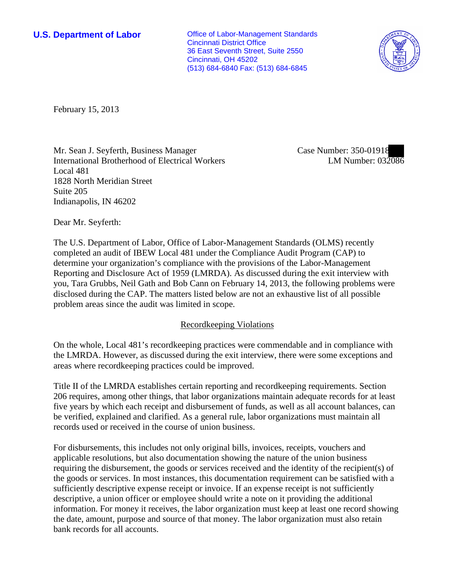**U.S. Department of Labor Office of Labor-Management Standards** Cincinnati District Office 36 East Seventh Street, Suite 2550 Cincinnati, OH 45202 (513) 684-6840 Fax: (513) 684-6845



February 15, 2013

Mr. Sean J. Seyferth, Business Manager International Brotherhood of Electrical Workers Local 481 1828 North Meridian Street Suite 205 Indianapolis, IN 46202

Case Number: 350-01918 LM Number: 032086

Dear Mr. Seyferth:

The U.S. Department of Labor, Office of Labor-Management Standards (OLMS) recently completed an audit of IBEW Local 481 under the Compliance Audit Program (CAP) to determine your organization's compliance with the provisions of the Labor-Management Reporting and Disclosure Act of 1959 (LMRDA). As discussed during the exit interview with you, Tara Grubbs, Neil Gath and Bob Cann on February 14, 2013, the following problems were disclosed during the CAP. The matters listed below are not an exhaustive list of all possible problem areas since the audit was limited in scope.

## Recordkeeping Violations

On the whole, Local 481's recordkeeping practices were commendable and in compliance with the LMRDA. However, as discussed during the exit interview, there were some exceptions and areas where recordkeeping practices could be improved.

Title II of the LMRDA establishes certain reporting and recordkeeping requirements. Section 206 requires, among other things, that labor organizations maintain adequate records for at least five years by which each receipt and disbursement of funds, as well as all account balances, can be verified, explained and clarified. As a general rule, labor organizations must maintain all records used or received in the course of union business.

For disbursements, this includes not only original bills, invoices, receipts, vouchers and applicable resolutions, but also documentation showing the nature of the union business requiring the disbursement, the goods or services received and the identity of the recipient(s) of the goods or services. In most instances, this documentation requirement can be satisfied with a sufficiently descriptive expense receipt or invoice. If an expense receipt is not sufficiently descriptive, a union officer or employee should write a note on it providing the additional information. For money it receives, the labor organization must keep at least one record showing the date, amount, purpose and source of that money. The labor organization must also retain bank records for all accounts.